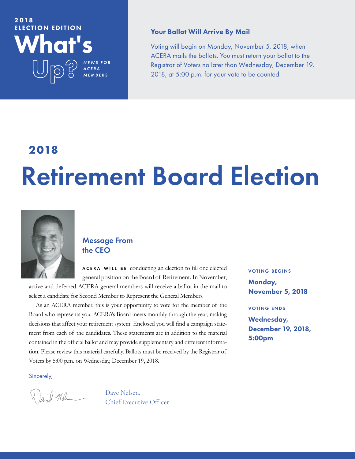## What's 2018 ELECTION EDITION

### Your Ballot Will Arrive By Mail

Voting will begin on Monday, November 5, 2018, when ACERA mails the ballots. You must return your ballot to the Registrar of Voters no later than Wednesday, December 19, 2018, at 5:00 p.m. for your vote to be counted.

# **2018** Retirement Board Election



## Message From the CEO

*N E W S F O R A C E R A MEMBERS*

ACERA WILL BE conducting an election to fill one elected general position on the Board of Retirement. In November,

active and deferred ACERA general members will receive a ballot in the mail to select a candidate for Second Member to Represent the General Members.

As an ACERA member, this is your opportunity to vote for the member of the Board who represents you. ACERA's Board meets monthly through the year, making decisions that affect your retirement system. Enclosed you will find a campaign statement from each of the candidates. These statements are in addition to the material contained in the official ballot and may provide supplementary and different information. Please review this material carefully. Ballots must be received by the Registrar of Voters by 5:00 p.m. on Wednesday, December 19, 2018.

Sincerely,

 Dave Nelsen, Oave Nelsen,<br>Chief Executive Officer

#### voting begins

Monday, November 5, 2018

#### voting ends

Wednesday, December 19, 2018, 5:00pm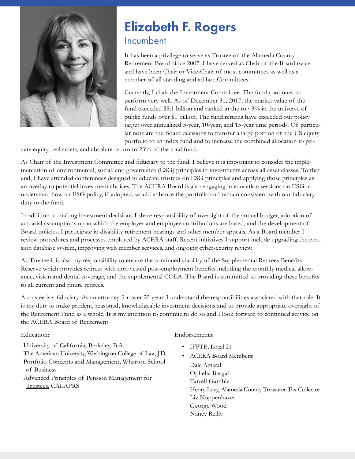

# Elizabeth F. Rogers Incumbent

It has been a privilege to serve as Trustee on the Alameda County Retirement Board since 2007. I have served as Chair of the Board twice and have been Chair or Vice-Chair of most committees as well as a member of all standing and ad hoc Committees.

Currently, I chair the Investment Committee. The fund continues to perform very well. As of December 31, 2017, the market value of the fund exceeded \$8.1 billion and ranked in the top 3% in the universe of public funds over \$1 billion. The fund returns have exceeded our policy target over annualized 5-year, 10-year, and 15-year time periods. Of particular note are the Board decisions to transfer a large portion of the US equity portfolio to an index fund and to increase the combined allocation to pri-

vate equity, real assets, and absolute return to 23% of the total fund.

As Chair of the Investment Committee and fiduciary to the fund, I believe it is important to consider the implementation of environmental, social, and governance (ESG) principles in investments across all asset classes. To that end, I have attended conferences designed to educate trustees on ESG principles and applying those principles as an overlay to potential investment choices. The ACERA Board is also engaging in education sessions on ESG to understand how an ESG policy, if adopted, would enhance the portfolio and remain consistent with our fiduciary duty to the fund.

In addition to making investment decisions I share responsibility of oversight of the annual budget, adoption of actuarial assumptions upon which the employer and employee contributions are based, and the development of Board policies. I participate in disability retirement hearings and other member appeals. As a Board member I review procedures and processes employed by ACERA staff. Recent initiatives I support include upgrading the pension database system, improving web member services, and ongoing cybersecurity review.

As Trustee it is also my responsibility to ensure the continued viability of the Supplemental Retirees Benefits Reserve which provides retirees with non-vested post-employment benefits including the monthly medical allowance, vision and dental coverage, and the supplemental COLA. The Board is committed to providing these benefits to all current and future retirees.

A trustee is a fiduciary. As an attorney for over 25 years I understand the responsibilities associated with that role. It is my duty to make prudent, reasoned, knowledgeable investment decisions and to provide appropriate oversight of the Retirement Fund as a whole. It is my intention to continue to do so and I look forward to continued service on the ACERA Board of Retirement.

#### Education:

University of California, Berkeley, B.A. The American University, Washington College of Law, J.D. Portfolio Concepts and Management, Wharton School of Business Advanced Principles of Pension Management for Trustees, CALAPRS

#### Endorsements:

- IFPTE, Local 21
- ACERA Board Members: Dale Amaral Ophelia Basgal Tarrell Gamble Henry Levy, Alameda County Treasurer-Tax Collector Liz Koppenhaver George Wood Nancy Reilly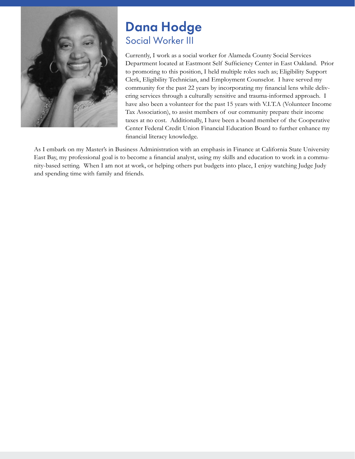

## Dana Hodge Social Worker III

Currently, I work as a social worker for Alameda County Social Services Department located at Eastmont Self Sufficiency Center in East Oakland. Prior to promoting to this position, I held multiple roles such as; Eligibility Support Clerk, Eligibility Technician, and Employment Counselor. I have served my community for the past 22 years by incorporating my financial lens while delivering services through a culturally sensitive and trauma-informed approach. I have also been a volunteer for the past 15 years with V.I.T.A (Volunteer Income Tax Association), to assist members of our community prepare their income taxes at no cost. Additionally, I have been a board member of the Cooperative Center Federal Credit Union Financial Education Board to further enhance my financial literacy knowledge.

As I embark on my Master's in Business Administration with an emphasis in Finance at California State University East Bay, my professional goal is to become a financial analyst, using my skills and education to work in a community-based setting. When I am not at work, or helping others put budgets into place, I enjoy watching Judge Judy and spending time with family and friends.